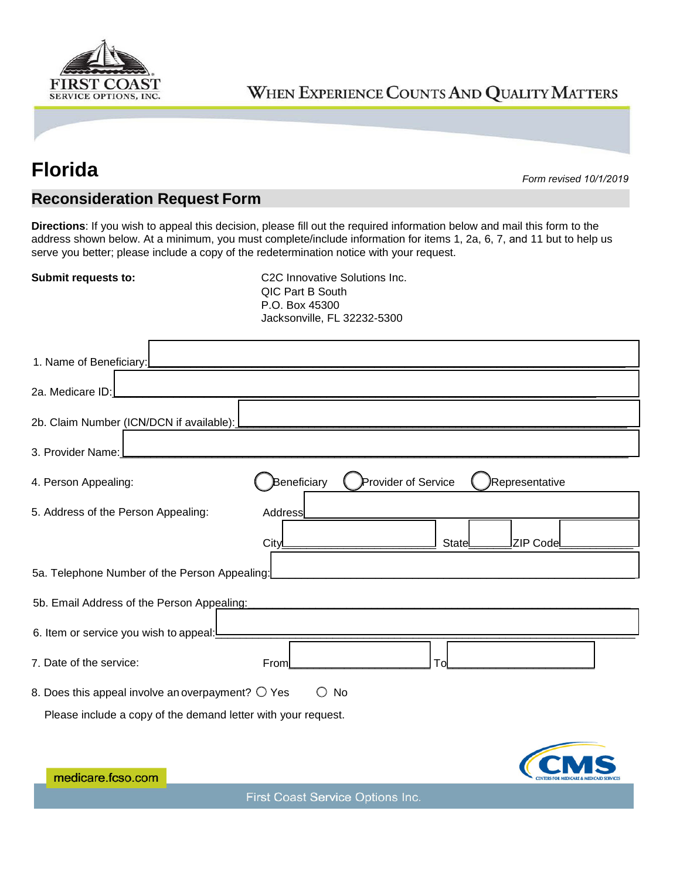

## WHEN EXPERIENCE COUNTS AND QUALITY MATTERS

## **Florida** *Form revised <sup>1</sup>0/1/2019*

## **Reconsideration Request Form**

**Directions**: If you wish to appeal this decision, please fill out the required information below and mail this form to the address shown below. At a minimum, you must complete/include information for items 1, 2a, 6, 7, and 11 but to help us serve you better; please include a copy of the redetermination notice with your request.

**Submit requests to:** C2C Innovative Solutions Inc. QIC Part B South P.O. Box 45300 Jacksonville, FL 32232-5300

| 1. Name of Beneficiary:                                                        |                                    |       |                |  |  |
|--------------------------------------------------------------------------------|------------------------------------|-------|----------------|--|--|
| 2a. Medicare ID:                                                               |                                    |       |                |  |  |
| 2b. Claim Number (ICN/DCN if available):                                       |                                    |       |                |  |  |
| 3. Provider Name:                                                              |                                    |       |                |  |  |
| 4. Person Appealing:                                                           | Beneficiary<br>Provider of Service |       | Representative |  |  |
| 5. Address of the Person Appealing:                                            | Address                            |       |                |  |  |
|                                                                                | CityL                              | State | ZIP Code       |  |  |
| 5a. Telephone Number of the Person Appealing:                                  |                                    |       |                |  |  |
| 5b. Email Address of the Person Appealing:                                     |                                    |       |                |  |  |
| 6. Item or service you wish to appeal:                                         |                                    |       |                |  |  |
| 7. Date of the service:                                                        | From                               | Tol   |                |  |  |
| 8. Does this appeal involve an overpayment? $\bigcirc$ Yes<br>$\bigcirc$<br>No |                                    |       |                |  |  |
| Please include a copy of the demand letter with your request.                  |                                    |       |                |  |  |
|                                                                                |                                    |       |                |  |  |
| medicare fcso.com                                                              |                                    |       |                |  |  |

medicare.fcso.com

First Coast Service Options Inc.